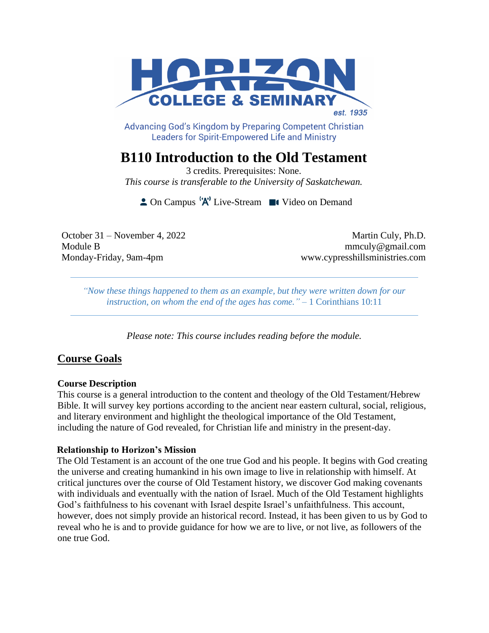

Advancing God's Kingdom by Preparing Competent Christian **Leaders for Spirit-Empowered Life and Ministry** 

# **B110 Introduction to the Old Testament**

3 credits. Prerequisites: None. *This course is transferable to the University of Saskatchewan.*

 $\triangle$  On Campus  $^1A^1$  Live-Stream  $\blacksquare$  Video on Demand

October 31 – November 4, 2022 Martin Culy, Ph.D. Module B mmculy@gmail.com Monday-Friday, 9am-4pm www.cypresshillsministries.com

*"Now these things happened to them as an example, but they were written down for our instruction, on whom the end of the ages has come."* – 1 Corinthians 10:11

*Please note: This course includes reading before the module.*

## **Course Goals**

#### **Course Description**

This course is a general introduction to the content and theology of the Old Testament/Hebrew Bible. It will survey key portions according to the ancient near eastern cultural, social, religious, and literary environment and highlight the theological importance of the Old Testament, including the nature of God revealed, for Christian life and ministry in the present-day.

#### **Relationship to Horizon's Mission**

The Old Testament is an account of the one true God and his people. It begins with God creating the universe and creating humankind in his own image to live in relationship with himself. At critical junctures over the course of Old Testament history, we discover God making covenants with individuals and eventually with the nation of Israel. Much of the Old Testament highlights God's faithfulness to his covenant with Israel despite Israel's unfaithfulness. This account, however, does not simply provide an historical record. Instead, it has been given to us by God to reveal who he is and to provide guidance for how we are to live, or not live, as followers of the one true God.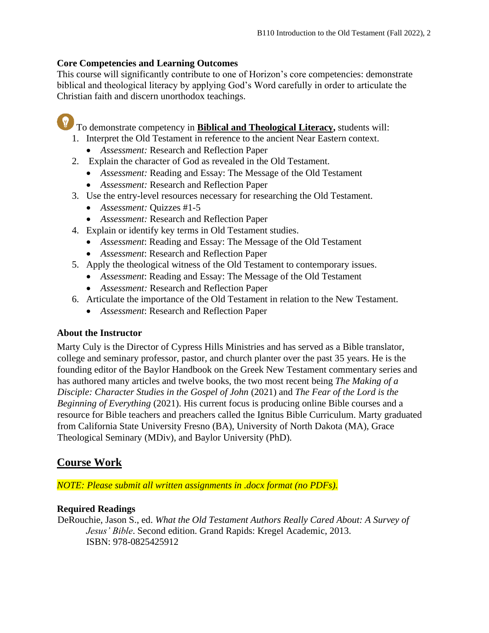## **Core Competencies and Learning Outcomes**

This course will significantly contribute to one of Horizon's core competencies: demonstrate biblical and theological literacy by applying God's Word carefully in order to articulate the Christian faith and discern unorthodox teachings.

To demonstrate competency in **Biblical and Theological Literacy**, students will:

- 1. Interpret the Old Testament in reference to the ancient Near Eastern context.
	- *Assessment:* Research and Reflection Paper
- 2. Explain the character of God as revealed in the Old Testament.
	- *Assessment:* Reading and Essay: The Message of the Old Testament
	- *Assessment:* Research and Reflection Paper
- 3. Use the entry-level resources necessary for researching the Old Testament.
	- *Assessment:* Quizzes #1-5
	- *Assessment:* Research and Reflection Paper
- 4. Explain or identify key terms in Old Testament studies.
	- *Assessment*: Reading and Essay: The Message of the Old Testament
	- *Assessment*: Research and Reflection Paper
- 5. Apply the theological witness of the Old Testament to contemporary issues.
	- *Assessment*: Reading and Essay: The Message of the Old Testament
	- *Assessment:* Research and Reflection Paper
- 6. Articulate the importance of the Old Testament in relation to the New Testament.
	- *Assessment*: Research and Reflection Paper

## **About the Instructor**

Marty Culy is the Director of Cypress Hills Ministries and has served as a Bible translator, college and seminary professor, pastor, and church planter over the past 35 years. He is the founding editor of the Baylor Handbook on the Greek New Testament commentary series and has authored many articles and twelve books, the two most recent being *The Making of a Disciple: Character Studies in the Gospel of John* (2021) and *The Fear of the Lord is the Beginning of Everything* (2021). His current focus is producing online Bible courses and a resource for Bible teachers and preachers called the Ignitus Bible Curriculum. Marty graduated from California State University Fresno (BA), University of North Dakota (MA), Grace Theological Seminary (MDiv), and Baylor University (PhD).

## **Course Work**

*NOTE: Please submit all written assignments in .docx format (no PDFs).*

## **Required Readings**

DeRouchie, Jason S., ed. *What the Old Testament Authors Really Cared About: A Survey of Jesus' Bible*. Second edition. Grand Rapids: Kregel Academic, 2013. ISBN: 978-0825425912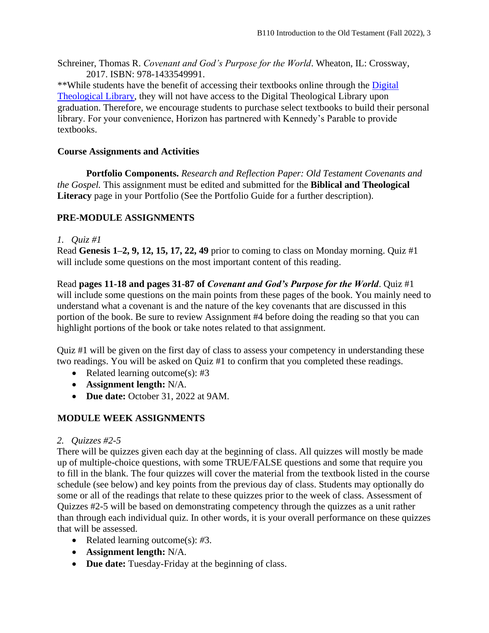Schreiner, Thomas R. *Covenant and God's Purpose for the World*. Wheaton, IL: Crossway, 2017. ISBN: 978-1433549991.

\*\*While students have the benefit of accessing their textbooks online through the [Digital](https://libguides.thedtl.org/home)  [Theological Library,](https://libguides.thedtl.org/home) they will not have access to the Digital Theological Library upon graduation. Therefore, we encourage students to purchase select textbooks to build their personal library. For your convenience, Horizon has partnered with Kennedy's Parable to provide textbooks.

### **Course Assignments and Activities**

**Portfolio Components.** *Research and Reflection Paper: Old Testament Covenants and the Gospel.* This assignment must be edited and submitted for the **Biblical and Theological Literacy** page in your Portfolio (See the Portfolio Guide for a further description).

## **PRE-MODULE ASSIGNMENTS**

#### *1. Quiz #1*

Read **Genesis 1–2, 9, 12, 15, 17, 22, 49** prior to coming to class on Monday morning. Quiz #1 will include some questions on the most important content of this reading.

Read **pages 11-18 and pages 31-87 of** *Covenant and God's Purpose for the World*. Quiz #1 will include some questions on the main points from these pages of the book. You mainly need to understand what a covenant is and the nature of the key covenants that are discussed in this portion of the book. Be sure to review Assignment #4 before doing the reading so that you can highlight portions of the book or take notes related to that assignment.

Quiz #1 will be given on the first day of class to assess your competency in understanding these two readings. You will be asked on Quiz #1 to confirm that you completed these readings.

- Related learning outcome(s): #3
- **Assignment length:** N/A.
- **Due date:** October 31, 2022 at 9AM.

## **MODULE WEEK ASSIGNMENTS**

## *2. Quizzes #2-5*

There will be quizzes given each day at the beginning of class. All quizzes will mostly be made up of multiple-choice questions, with some TRUE/FALSE questions and some that require you to fill in the blank. The four quizzes will cover the material from the textbook listed in the course schedule (see below) and key points from the previous day of class. Students may optionally do some or all of the readings that relate to these quizzes prior to the week of class. Assessment of Quizzes #2-5 will be based on demonstrating competency through the quizzes as a unit rather than through each individual quiz. In other words, it is your overall performance on these quizzes that will be assessed.

- Related learning outcome(s): *#*3.
- **Assignment length:** N/A.
- **Due date:** Tuesday-Friday at the beginning of class.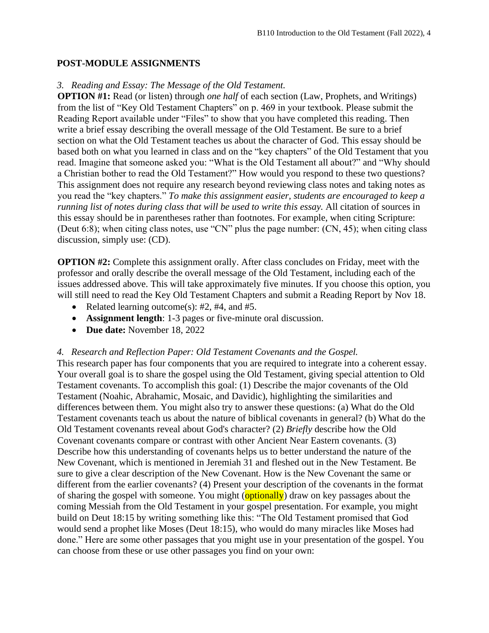#### **POST-MODULE ASSIGNMENTS**

#### *3. Reading and Essay: The Message of the Old Testament.*

**OPTION #1:** Read (or listen) through *one half* of each section (Law, Prophets, and Writings) from the list of "Key Old Testament Chapters" on p. 469 in your textbook. Please submit the Reading Report available under "Files" to show that you have completed this reading. Then write a brief essay describing the overall message of the Old Testament. Be sure to a brief section on what the Old Testament teaches us about the character of God. This essay should be based both on what you learned in class and on the "key chapters" of the Old Testament that you read. Imagine that someone asked you: "What is the Old Testament all about?" and "Why should a Christian bother to read the Old Testament?" How would you respond to these two questions? This assignment does not require any research beyond reviewing class notes and taking notes as you read the "key chapters." *To make this assignment easier, students are encouraged to keep a running list of notes during class that will be used to write this essay.* All citation of sources in this essay should be in parentheses rather than footnotes. For example, when citing Scripture: (Deut 6:8); when citing class notes, use "CN" plus the page number: (CN, 45); when citing class discussion, simply use: (CD).

**OPTION #2:** Complete this assignment orally. After class concludes on Friday, meet with the professor and orally describe the overall message of the Old Testament, including each of the issues addressed above. This will take approximately five minutes. If you choose this option, you will still need to read the Key Old Testament Chapters and submit a Reading Report by Nov 18.

- Related learning outcome(s): #2, #4, and #5.
- **Assignment length**: 1-3 pages or five-minute oral discussion.
- **Due date:** November 18, 2022

#### *4.**Research and Reflection Paper: Old Testament Covenants and the Gospel.*

This research paper has four components that you are required to integrate into a coherent essay. Your overall goal is to share the gospel using the Old Testament, giving special attention to Old Testament covenants. To accomplish this goal: (1) Describe the major covenants of the Old Testament (Noahic, Abrahamic, Mosaic, and Davidic), highlighting the similarities and differences between them. You might also try to answer these questions: (a) What do the Old Testament covenants teach us about the nature of biblical covenants in general? (b) What do the Old Testament covenants reveal about God's character? (2) *Briefly* describe how the Old Covenant covenants compare or contrast with other Ancient Near Eastern covenants. (3) Describe how this understanding of covenants helps us to better understand the nature of the New Covenant, which is mentioned in Jeremiah 31 and fleshed out in the New Testament. Be sure to give a clear description of the New Covenant. How is the New Covenant the same or different from the earlier covenants? (4) Present your description of the covenants in the format of sharing the gospel with someone. You might  $\overline{(\text{optionally})}$  draw on key passages about the coming Messiah from the Old Testament in your gospel presentation. For example, you might build on Deut 18:15 by writing something like this: "The Old Testament promised that God would send a prophet like Moses (Deut 18:15), who would do many miracles like Moses had done." Here are some other passages that you might use in your presentation of the gospel. You can choose from these or use other passages you find on your own: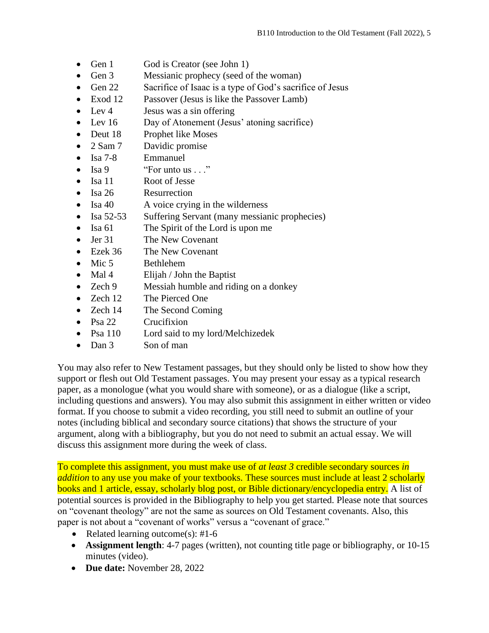- Gen 1 God is Creator (see John 1)
- Gen 3 Messianic prophecy (seed of the woman)
- Gen 22 Sacrifice of Isaac is a type of God's sacrifice of Jesus
- Exod 12 Passover (Jesus is like the Passover Lamb)
- Lev 4 Jesus was a sin offering
- Lev 16 Day of Atonement (Jesus' atoning sacrifice)
- Deut 18 Prophet like Moses
- 2 Sam 7 Davidic promise
- Isa 7-8 Emmanuel
- Isa 9  $"For$  unto us . . ."
- Isa 11 Root of Jesse
- Isa 26 Resurrection
- Isa 40 A voice crying in the wilderness
- Isa 52-53 Suffering Servant (many messianic prophecies)
- Isa 61 The Spirit of the Lord is upon me
- Jer 31 The New Covenant
- Ezek 36 The New Covenant
- Mic 5 Bethlehem
- Mal 4 Elijah / John the Baptist
- Zech 9 Messiah humble and riding on a donkey
- Zech 12 The Pierced One
- Zech 14 The Second Coming
- Psa 22 Crucifixion
- Psa 110 Lord said to my lord/Melchizedek
- Dan 3 Son of man

You may also refer to New Testament passages, but they should only be listed to show how they support or flesh out Old Testament passages. You may present your essay as a typical research paper, as a monologue (what you would share with someone), or as a dialogue (like a script, including questions and answers). You may also submit this assignment in either written or video format. If you choose to submit a video recording, you still need to submit an outline of your notes (including biblical and secondary source citations) that shows the structure of your argument, along with a bibliography, but you do not need to submit an actual essay. We will discuss this assignment more during the week of class.

To complete this assignment, you must make use of *at least 3* credible secondary sources *in addition* to any use you make of your textbooks. These sources must include at least 2 scholarly books and 1 article, essay, scholarly blog post, or Bible dictionary/encyclopedia entry. A list of potential sources is provided in the Bibliography to help you get started. Please note that sources on "covenant theology" are not the same as sources on Old Testament covenants. Also, this paper is not about a "covenant of works" versus a "covenant of grace."

- Related learning outcome(s):  $#1-6$
- **Assignment length**: 4-7 pages (written), not counting title page or bibliography, or 10-15 minutes (video).
- **Due date:** November 28, 2022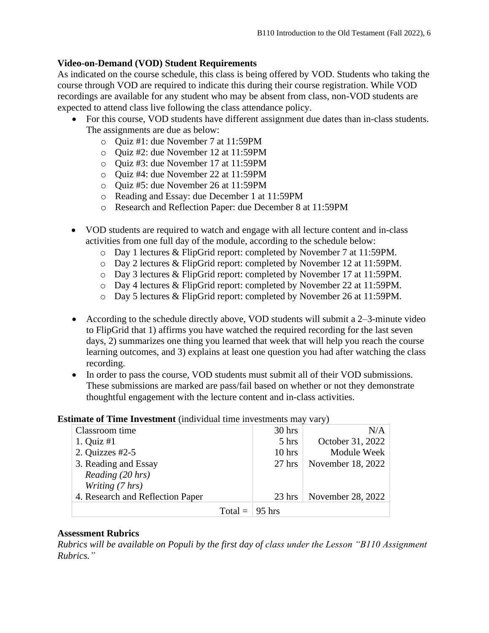### **Video-on-Demand (VOD) Student Requirements**

As indicated on the course schedule, this class is being offered by VOD. Students who taking the course through VOD are required to indicate this during their course registration. While VOD recordings are available for any student who may be absent from class, non-VOD students are expected to attend class live following the class attendance policy.

- For this course, VOD students have different assignment due dates than in-class students. The assignments are due as below:
	- o Quiz #1: due November 7 at 11:59PM
	- o Quiz #2: due November 12 at 11:59PM
	- o Quiz #3: due November 17 at 11:59PM
	- o Quiz #4: due November 22 at 11:59PM
	- o Quiz #5: due November 26 at 11:59PM
	- o Reading and Essay: due December 1 at 11:59PM
	- o Research and Reflection Paper: due December 8 at 11:59PM
- VOD students are required to watch and engage with all lecture content and in-class activities from one full day of the module, according to the schedule below:
	- o Day 1 lectures & FlipGrid report: completed by November 7 at 11:59PM.
	- o Day 2 lectures & FlipGrid report: completed by November 12 at 11:59PM.
	- o Day 3 lectures & FlipGrid report: completed by November 17 at 11:59PM.
	- o Day 4 lectures & FlipGrid report: completed by November 22 at 11:59PM.
	- o Day 5 lectures & FlipGrid report: completed by November 26 at 11:59PM.
- According to the schedule directly above, VOD students will submit a 2–3-minute video to FlipGrid that 1) affirms you have watched the required recording for the last seven days, 2) summarizes one thing you learned that week that will help you reach the course learning outcomes, and 3) explains at least one question you had after watching the class recording.
- In order to pass the course, VOD students must submit all of their VOD submissions. These submissions are marked are pass/fail based on whether or not they demonstrate thoughtful engagement with the lecture content and in-class activities.

#### **Estimate of Time Investment** (individual time investments may vary)

| Classroom time                   |           | 30 hrs   | N/A               |
|----------------------------------|-----------|----------|-------------------|
| 1. Quiz $#1$                     |           | 5 hrs    | October 31, 2022  |
| 2. Quizzes $#2-5$                |           | $10$ hrs | Module Week       |
| 3. Reading and Essay             |           | $27$ hrs | November 18, 2022 |
| Reading (20 hrs)                 |           |          |                   |
| Writing (7 hrs)                  |           |          |                   |
| 4. Research and Reflection Paper |           | $23$ hrs | November 28, 2022 |
|                                  | $Total =$ | 95 hrs   |                   |

#### **Assessment Rubrics**

*Rubrics will be available on Populi by the first day of class under the Lesson "B110 Assignment Rubrics."*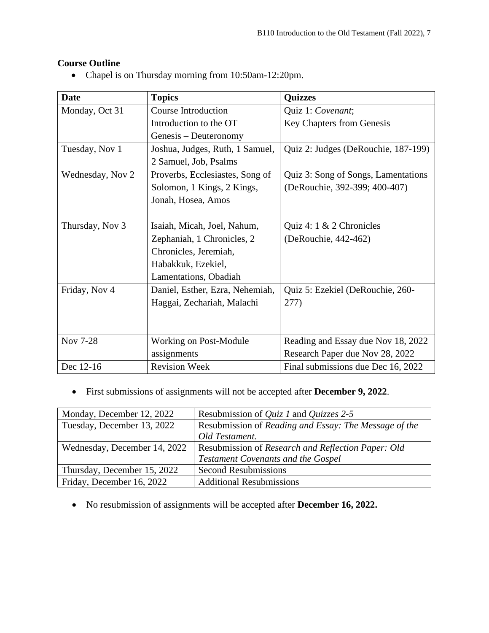## **Course Outline**

• Chapel is on Thursday morning from 10:50am-12:20pm.

| Date             | <b>Topics</b>                   | <b>Quizzes</b>                      |
|------------------|---------------------------------|-------------------------------------|
| Monday, Oct 31   | <b>Course Introduction</b>      | Quiz 1: Covenant;                   |
|                  | Introduction to the OT          | <b>Key Chapters from Genesis</b>    |
|                  | Genesis – Deuteronomy           |                                     |
| Tuesday, Nov 1   | Joshua, Judges, Ruth, 1 Samuel, | Quiz 2: Judges (DeRouchie, 187-199) |
|                  | 2 Samuel, Job, Psalms           |                                     |
| Wednesday, Nov 2 | Proverbs, Ecclesiastes, Song of | Quiz 3: Song of Songs, Lamentations |
|                  | Solomon, 1 Kings, 2 Kings,      | (DeRouchie, 392-399; 400-407)       |
|                  | Jonah, Hosea, Amos              |                                     |
|                  |                                 |                                     |
| Thursday, Nov 3  | Isaiah, Micah, Joel, Nahum,     | Quiz 4: $1 \& 2$ Chronicles         |
|                  | Zephaniah, 1 Chronicles, 2      | (DeRouchie, 442-462)                |
|                  | Chronicles, Jeremiah,           |                                     |
|                  | Habakkuk, Ezekiel,              |                                     |
|                  | Lamentations, Obadiah           |                                     |
| Friday, Nov 4    | Daniel, Esther, Ezra, Nehemiah, | Quiz 5: Ezekiel (DeRouchie, 260-    |
|                  | Haggai, Zechariah, Malachi      | 277)                                |
|                  |                                 |                                     |
|                  |                                 |                                     |
| Nov 7-28         | Working on Post-Module          | Reading and Essay due Nov 18, 2022  |
|                  | assignments                     | Research Paper due Nov 28, 2022     |
| Dec 12-16        | <b>Revision Week</b>            | Final submissions due Dec 16, 2022  |

• First submissions of assignments will not be accepted after **December 9, 2022**.

| Monday, December 12, 2022    | Resubmission of <i>Quiz 1</i> and <i>Quizzes</i> 2-5  |
|------------------------------|-------------------------------------------------------|
| Tuesday, December 13, 2022   | Resubmission of Reading and Essay: The Message of the |
|                              | Old Testament.                                        |
| Wednesday, December 14, 2022 | Resubmission of Research and Reflection Paper: Old    |
|                              | <b>Testament Covenants and the Gospel</b>             |
| Thursday, December 15, 2022  | <b>Second Resubmissions</b>                           |
| Friday, December 16, 2022    | <b>Additional Resubmissions</b>                       |

• No resubmission of assignments will be accepted after **December 16, 2022.**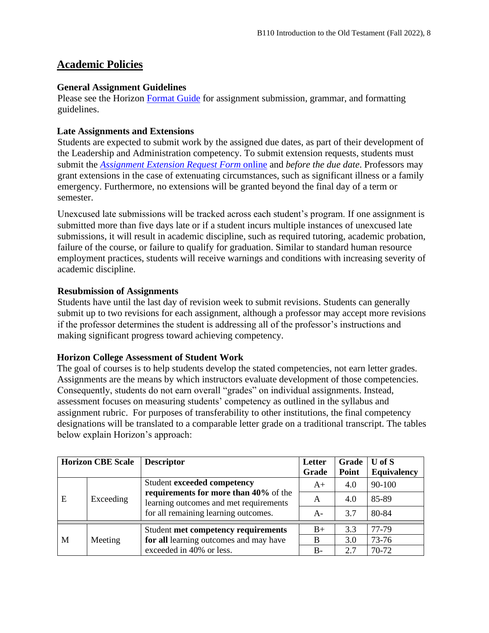## **Academic Policies**

#### **General Assignment Guidelines**

Please see the Horizon [Format Guide](https://www.horizon.edu/academics/) for assignment submission, grammar, and formatting guidelines.

#### **Late Assignments and Extensions**

Students are expected to submit work by the assigned due dates, as part of their development of the Leadership and Administration competency. To submit extension requests, students must submit the *[Assignment Extension Request Form](https://horizon.edu/forms/student/)* online and *before the due date*. Professors may grant extensions in the case of extenuating circumstances, such as significant illness or a family emergency. Furthermore, no extensions will be granted beyond the final day of a term or semester.

Unexcused late submissions will be tracked across each student's program. If one assignment is submitted more than five days late or if a student incurs multiple instances of unexcused late submissions, it will result in academic discipline, such as required tutoring, academic probation, failure of the course, or failure to qualify for graduation. Similar to standard human resource employment practices, students will receive warnings and conditions with increasing severity of academic discipline.

#### **Resubmission of Assignments**

Students have until the last day of revision week to submit revisions. Students can generally submit up to two revisions for each assignment, although a professor may accept more revisions if the professor determines the student is addressing all of the professor's instructions and making significant progress toward achieving competency.

#### **Horizon College Assessment of Student Work**

The goal of courses is to help students develop the stated competencies, not earn letter grades. Assignments are the means by which instructors evaluate development of those competencies. Consequently, students do not earn overall "grades" on individual assignments. Instead, assessment focuses on measuring students' competency as outlined in the syllabus and assignment rubric. For purposes of transferability to other institutions, the final competency designations will be translated to a comparable letter grade on a traditional transcript. The tables below explain Horizon's approach:

|   | <b>Horizon CBE Scale</b> | <b>Descriptor</b>                                                                                                                                      | Letter<br>Grade | Grade<br>Point | $U$ of $S$<br><b>Equivalency</b> |
|---|--------------------------|--------------------------------------------------------------------------------------------------------------------------------------------------------|-----------------|----------------|----------------------------------|
| E | Exceeding                | Student exceeded competency<br>requirements for more than 40% of the<br>learning outcomes and met requirements<br>for all remaining learning outcomes. | $A+$            | 4.0            | 90-100                           |
|   |                          |                                                                                                                                                        | A               | 4.0            | 85-89                            |
|   |                          |                                                                                                                                                        | A-              | 3.7            | 80-84                            |
| M | Meeting                  | Student met competency requirements                                                                                                                    | $B+$            | 3.3            | 77-79                            |
|   |                          | for all learning outcomes and may have                                                                                                                 | B               | 3.0            | 73-76                            |
|   |                          | exceeded in 40% or less.                                                                                                                               | $B -$           | 2.7            | 70-72                            |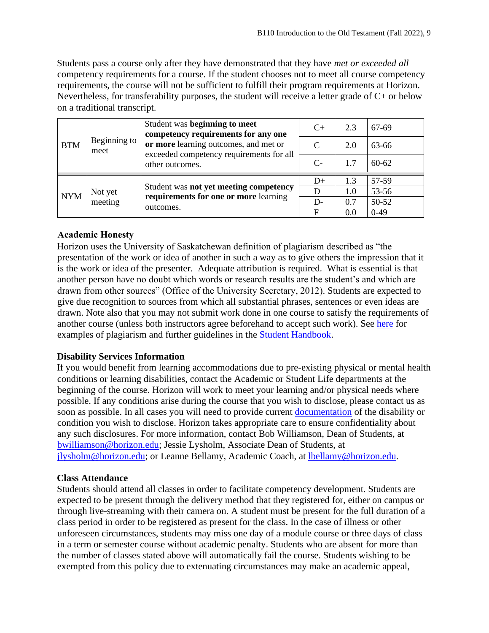Students pass a course only after they have demonstrated that they have *met or exceeded all*  competency requirements for a course. If the student chooses not to meet all course competency requirements, the course will not be sufficient to fulfill their program requirements at Horizon. Nevertheless, for transferability purposes, the student will receive a letter grade of C+ or below on a traditional transcript.

| <b>BTM</b><br>meet |                    | Student was beginning to meet<br>competency requirements for any one<br>or more learning outcomes, and met or<br>exceeded competency requirements for all<br>other outcomes. | $C_{+}$                     | 2.3 | 67-69     |
|--------------------|--------------------|------------------------------------------------------------------------------------------------------------------------------------------------------------------------------|-----------------------------|-----|-----------|
|                    | Beginning to       |                                                                                                                                                                              | $\mathcal{C}_{\mathcal{C}}$ | 2.0 | 63-66     |
|                    |                    |                                                                                                                                                                              | $C-$                        | 1.7 | $60 - 62$ |
| <b>NYM</b>         | Not yet<br>meeting | Student was not yet meeting competency<br>requirements for one or more learning<br>outcomes.                                                                                 | $D+$                        | 1.3 | 57-59     |
|                    |                    |                                                                                                                                                                              |                             | 1.0 | 53-56     |
|                    |                    |                                                                                                                                                                              | D-                          | 0.7 | 50-52     |
|                    |                    |                                                                                                                                                                              | F                           | 0.0 | $0-49$    |

## **Academic Honesty**

Horizon uses the University of Saskatchewan definition of plagiarism described as "the presentation of the work or idea of another in such a way as to give others the impression that it is the work or idea of the presenter. Adequate attribution is required. What is essential is that another person have no doubt which words or research results are the student's and which are drawn from other sources" (Office of the University Secretary, 2012). Students are expected to give due recognition to sources from which all substantial phrases, sentences or even ideas are drawn. Note also that you may not submit work done in one course to satisfy the requirements of another course (unless both instructors agree beforehand to accept such work). See [here](http://www.turnitin.com/assets/en_us/media/plagiarism_spectrum.php) for examples of plagiarism and further guidelines in the [Student Handbook.](https://www.horizon.edu/academics/)

## **Disability Services Information**

If you would benefit from learning accommodations due to pre-existing physical or mental health conditions or learning disabilities, contact the Academic or Student Life departments at the beginning of the course. Horizon will work to meet your learning and/or physical needs where possible. If any conditions arise during the course that you wish to disclose, please contact us as soon as possible. In all cases you will need to provide current [documentation](https://www.horizon.edu/students/support/) of the disability or condition you wish to disclose. Horizon takes appropriate care to ensure confidentiality about any such disclosures. For more information, contact Bob Williamson, Dean of Students, at [bwilliamson@horizon.edu;](mailto:bwilliamson@horizon.edu) Jessie Lysholm, Associate Dean of Students, at [jlysholm@horizon.edu;](mailto:jlysholm@horizon.edu) or Leanne Bellamy, Academic Coach, at [lbellamy@horizon.edu.](mailto:lbellamy@horizon.edu)

#### **Class Attendance**

Students should attend all classes in order to facilitate competency development. Students are expected to be present through the delivery method that they registered for, either on campus or through live-streaming with their camera on. A student must be present for the full duration of a class period in order to be registered as present for the class. In the case of illness or other unforeseen circumstances, students may miss one day of a module course or three days of class in a term or semester course without academic penalty. Students who are absent for more than the number of classes stated above will automatically fail the course. Students wishing to be exempted from this policy due to extenuating circumstances may make an academic appeal,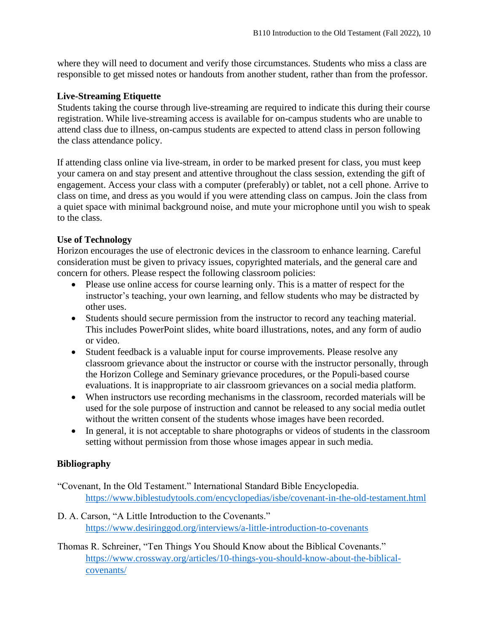where they will need to document and verify those circumstances. Students who miss a class are responsible to get missed notes or handouts from another student, rather than from the professor.

#### **Live-Streaming Etiquette**

Students taking the course through live-streaming are required to indicate this during their course registration. While live-streaming access is available for on-campus students who are unable to attend class due to illness, on-campus students are expected to attend class in person following the class attendance policy.

If attending class online via live-stream, in order to be marked present for class, you must keep your camera on and stay present and attentive throughout the class session, extending the gift of engagement. Access your class with a computer (preferably) or tablet, not a cell phone. Arrive to class on time, and dress as you would if you were attending class on campus. Join the class from a quiet space with minimal background noise, and mute your microphone until you wish to speak to the class.

#### **Use of Technology**

Horizon encourages the use of electronic devices in the classroom to enhance learning. Careful consideration must be given to privacy issues, copyrighted materials, and the general care and concern for others. Please respect the following classroom policies:

- Please use online access for course learning only. This is a matter of respect for the instructor's teaching, your own learning, and fellow students who may be distracted by other uses.
- Students should secure permission from the instructor to record any teaching material. This includes PowerPoint slides, white board illustrations, notes, and any form of audio or video.
- Student feedback is a valuable input for course improvements. Please resolve any classroom grievance about the instructor or course with the instructor personally, through the Horizon College and Seminary grievance procedures, or the Populi-based course evaluations. It is inappropriate to air classroom grievances on a social media platform.
- When instructors use recording mechanisms in the classroom, recorded materials will be used for the sole purpose of instruction and cannot be released to any social media outlet without the written consent of the students whose images have been recorded.
- In general, it is not acceptable to share photographs or videos of students in the classroom setting without permission from those whose images appear in such media.

#### **Bibliography**

- "Covenant, In the Old Testament." International Standard Bible Encyclopedia. <https://www.biblestudytools.com/encyclopedias/isbe/covenant-in-the-old-testament.html>
- D. A. Carson, "A Little Introduction to the Covenants." <https://www.desiringgod.org/interviews/a-little-introduction-to-covenants>
- Thomas R. Schreiner, "Ten Things You Should Know about the Biblical Covenants." [https://www.crossway.org/articles/10-things-you-should-know-about-the-biblical](https://www.crossway.org/articles/10-things-you-should-know-about-the-biblical-covenants/)[covenants/](https://www.crossway.org/articles/10-things-you-should-know-about-the-biblical-covenants/)